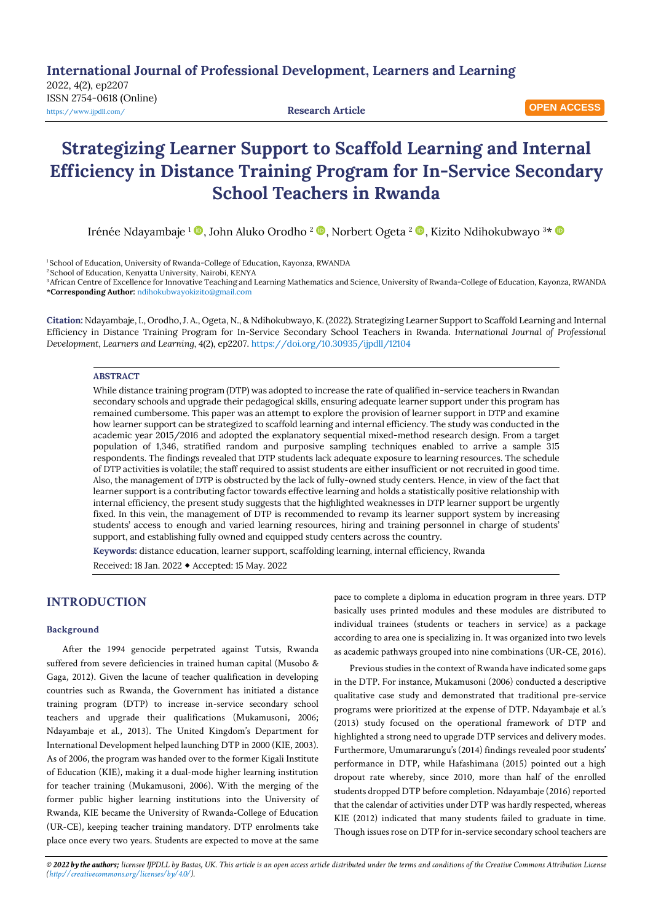**International Journal of Professional Development, Learners and Learning**

2022, 4(2), ep2207 ISSN 2754-0618 (Online) <https://www.ijpdll.com/> **Research Article**

**OPEN ACCESS**

# **Strategizing Learner Support to Scaffold Learning and Internal Efficiency in Distance Training Program for In-Service Secondary School Teachers in Rwanda**

Irénée Ndayambaje <sup>1</sup> , John Aluko Orodho <sup>2</sup> , Norbert Ogeta <sup>2</sup> , Kizito Ndihokubwayo <sup>3</sup>\*

<sup>1</sup> School of Education, University of Rwanda-College of Education, Kayonza, RWANDA

<sup>2</sup> School of Education, Kenyatta University, Nairobi, KENYA

<sup>3</sup>African Centre of Excellence for Innovative Teaching and Learning Mathematics and Science, University of Rwanda-College of Education, Kayonza, RWANDA \***Corresponding Author:** [ndihokubwayokizito@gmail.com](mailto:ndihokubwayokizito@gmail.com)

**Citation:** Ndayambaje, I., Orodho, J. A., Ogeta, N., & Ndihokubwayo, K. (2022). Strategizing Learner Support to Scaffold Learning and Internal Efficiency in Distance Training Program for In-Service Secondary School Teachers in Rwanda. *International Journal of Professional Development, Learners and Learning, 4*(2), ep2207. <https://doi.org/10.30935/ijpdll/12104>

## **ABSTRACT**

While distance training program (DTP) was adopted to increase the rate of qualified in-service teachers in Rwandan secondary schools and upgrade their pedagogical skills, ensuring adequate learner support under this program has remained cumbersome. This paper was an attempt to explore the provision of learner support in DTP and examine how learner support can be strategized to scaffold learning and internal efficiency. The study was conducted in the academic year 2015/2016 and adopted the explanatory sequential mixed-method research design. From a target population of 1,346, stratified random and purposive sampling techniques enabled to arrive a sample 315 respondents. The findings revealed that DTP students lack adequate exposure to learning resources. The schedule of DTP activities is volatile; the staff required to assist students are either insufficient or not recruited in good time. Also, the management of DTP is obstructed by the lack of fully-owned study centers. Hence, in view of the fact that learner support is a contributing factor towards effective learning and holds a statistically positive relationship with internal efficiency, the present study suggests that the highlighted weaknesses in DTP learner support be urgently fixed. In this vein, the management of DTP is recommended to revamp its learner support system by increasing students' access to enough and varied learning resources, hiring and training personnel in charge of students' support, and establishing fully owned and equipped study centers across the country.

**Keywords:** distance education, learner support, scaffolding learning, internal efficiency, Rwanda Received: 18 Jan. 2022 Accepted: 15 May. 2022

# **INTRODUCTION**

## **Background**

After the 1994 genocide perpetrated against Tutsis, Rwanda suffered from severe deficiencies in trained human capital (Musobo & Gaga, 2012). Given the lacune of teacher qualification in developing countries such as Rwanda, the Government has initiated a distance training program (DTP) to increase in-service secondary school teachers and upgrade their qualifications (Mukamusoni, 2006; Ndayambaje et al., 2013). The United Kingdom's Department for International Development helped launching DTP in 2000 (KIE, 2003). As of 2006, the program was handed over to the former Kigali Institute of Education (KIE), making it a dual-mode higher learning institution for teacher training (Mukamusoni, 2006). With the merging of the former public higher learning institutions into the University of Rwanda, KIE became the University of Rwanda-College of Education (UR-CE), keeping teacher training mandatory. DTP enrolments take place once every two years. Students are expected to move at the same

pace to complete a diploma in education program in three years. DTP basically uses printed modules and these modules are distributed to individual trainees (students or teachers in service) as a package according to area one is specializing in. It was organized into two levels as academic pathways grouped into nine combinations (UR-CE, 2016).

Previous studies in the context of Rwanda have indicated some gaps in the DTP. For instance, Mukamusoni (2006) conducted a descriptive qualitative case study and demonstrated that traditional pre-service programs were prioritized at the expense of DTP. Ndayambaje et al.'s (2013) study focused on the operational framework of DTP and highlighted a strong need to upgrade DTP services and delivery modes. Furthermore, Umumararungu's (2014) findings revealed poor students' performance in DTP, while Hafashimana (2015) pointed out a high dropout rate whereby, since 2010, more than half of the enrolled students dropped DTP before completion. Ndayambaje (2016) reported that the calendar of activities under DTP was hardly respected, whereas KIE (2012) indicated that many students failed to graduate in time. Though issues rose on DTP for in-service secondary school teachers are

© 2022 by the authors; licensee IJPDLL by Bastas, UK. This article is an open access article distributed under the terms and conditions of the Creative Commons Attribution License *[\(http://creativecommons.org/licenses/by/4.0/\)](http://creativecommons.org/licenses/by/4.0/).*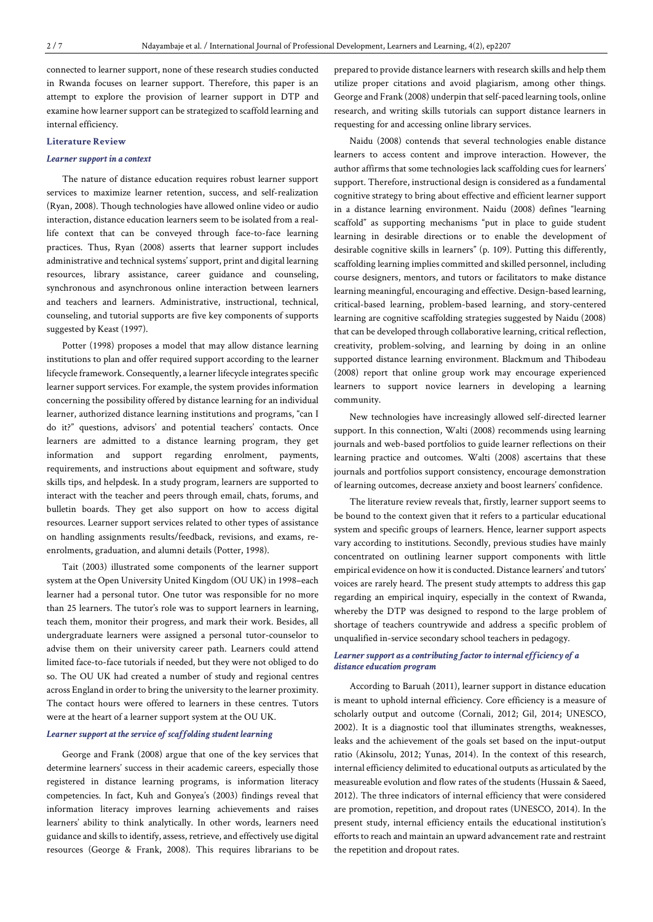connected to learner support, none of these research studies conducted in Rwanda focuses on learner support. Therefore, this paper is an attempt to explore the provision of learner support in DTP and examine how learner support can be strategized to scaffold learning and internal efficiency.

## **Literature Review**

#### *Learner support in a context*

The nature of distance education requires robust learner support services to maximize learner retention, success, and self-realization (Ryan, 2008). Though technologies have allowed online video or audio interaction, distance education learners seem to be isolated from a reallife context that can be conveyed through face-to-face learning practices. Thus, Ryan (2008) asserts that learner support includes administrative and technical systems' support, print and digital learning resources, library assistance, career guidance and counseling, synchronous and asynchronous online interaction between learners and teachers and learners. Administrative, instructional, technical, counseling, and tutorial supports are five key components of supports suggested by Keast (1997).

Potter (1998) proposes a model that may allow distance learning institutions to plan and offer required support according to the learner lifecycle framework. Consequently, a learner lifecycle integrates specific learner support services. For example, the system provides information concerning the possibility offered by distance learning for an individual learner, authorized distance learning institutions and programs, "can I do it?" questions, advisors' and potential teachers' contacts. Once learners are admitted to a distance learning program, they get information and support regarding enrolment, payments, requirements, and instructions about equipment and software, study skills tips, and helpdesk. In a study program, learners are supported to interact with the teacher and peers through email, chats, forums, and bulletin boards. They get also support on how to access digital resources. Learner support services related to other types of assistance on handling assignments results/feedback, revisions, and exams, reenrolments, graduation, and alumni details (Potter, 1998).

Tait (2003) illustrated some components of the learner support system at the Open University United Kingdom (OU UK) in 1998–each learner had a personal tutor. One tutor was responsible for no more than 25 learners. The tutor's role was to support learners in learning, teach them, monitor their progress, and mark their work. Besides, all undergraduate learners were assigned a personal tutor-counselor to advise them on their university career path. Learners could attend limited face-to-face tutorials if needed, but they were not obliged to do so. The OU UK had created a number of study and regional centres across England in order to bring the university to the learner proximity. The contact hours were offered to learners in these centres. Tutors were at the heart of a learner support system at the OU UK.

## *Learner support* at the *service* of *scaffolding student learning*

George and Frank (2008) argue that one of the key services that determine learners' success in their academic careers, especially those registered in distance learning programs, is information literacy competencies. In fact, Kuh and Gonyea's (2003) findings reveal that information literacy improves learning achievements and raises learners' ability to think analytically. In other words, learners need guidance and skills to identify, assess, retrieve, and effectively use digital resources (George & Frank, 2008). This requires librarians to be prepared to provide distance learners with research skills and help them utilize proper citations and avoid plagiarism, among other things. George and Frank (2008) underpin that self-paced learning tools, online research, and writing skills tutorials can support distance learners in requesting for and accessing online library services.

Naidu (2008) contends that several technologies enable distance learners to access content and improve interaction. However, the author affirms that some technologies lack scaffolding cues for learners' support. Therefore, instructional design is considered as a fundamental cognitive strategy to bring about effective and efficient learner support in a distance learning environment. Naidu (2008) defines "learning scaffold" as supporting mechanisms "put in place to guide student learning in desirable directions or to enable the development of desirable cognitive skills in learners" (p. 109). Putting this differently, scaffolding learning implies committed and skilled personnel, including course designers, mentors, and tutors or facilitators to make distance learning meaningful, encouraging and effective. Design-based learning, critical-based learning, problem-based learning, and story-centered learning are cognitive scaffolding strategies suggested by Naidu (2008) that can be developed through collaborative learning, critical reflection, creativity, problem-solving, and learning by doing in an online supported distance learning environment. Blackmum and Thibodeau (2008) report that online group work may encourage experienced learners to support novice learners in developing a learning community.

New technologies have increasingly allowed self-directed learner support. In this connection, Walti (2008) recommends using learning journals and web-based portfolios to guide learner reflections on their learning practice and outcomes. Walti (2008) ascertains that these journals and portfolios support consistency, encourage demonstration of learning outcomes, decrease anxiety and boost learners' confidence.

The literature review reveals that, firstly, learner support seems to be bound to the context given that it refers to a particular educational system and specific groups of learners. Hence, learner support aspects vary according to institutions. Secondly, previous studies have mainly concentrated on outlining learner support components with little empirical evidence on how it isconducted. Distance learners' and tutors' voices are rarely heard. The present study attempts to address this gap regarding an empirical inquiry, especially in the context of Rwanda, whereby the DTP was designed to respond to the large problem of shortage of teachers countrywide and address a specific problem of unqualified in-service secondary school teachers in pedagogy.

## *Learner support as a contributing factor tointernalefficiency of a*  $distance$ *education program*

According to Baruah (2011), learner support in distance education is meant to uphold internal efficiency. Core efficiency is a measure of scholarly output and outcome (Cornali, 2012; Gil, 2014; UNESCO, 2002). It is a diagnostic tool that illuminates strengths, weaknesses, leaks and the achievement of the goals set based on the input-output ratio (Akinsolu, 2012; Yunas, 2014). In the context of this research, internal efficiency delimited to educational outputs as articulated by the measureable evolution and flow rates of the students (Hussain & Saeed, 2012). The three indicators of internal efficiency that were considered are promotion, repetition, and dropout rates (UNESCO, 2014). In the present study, internal efficiency entails the educational institution's efforts to reach and maintain an upward advancement rate and restraint the repetition and dropout rates.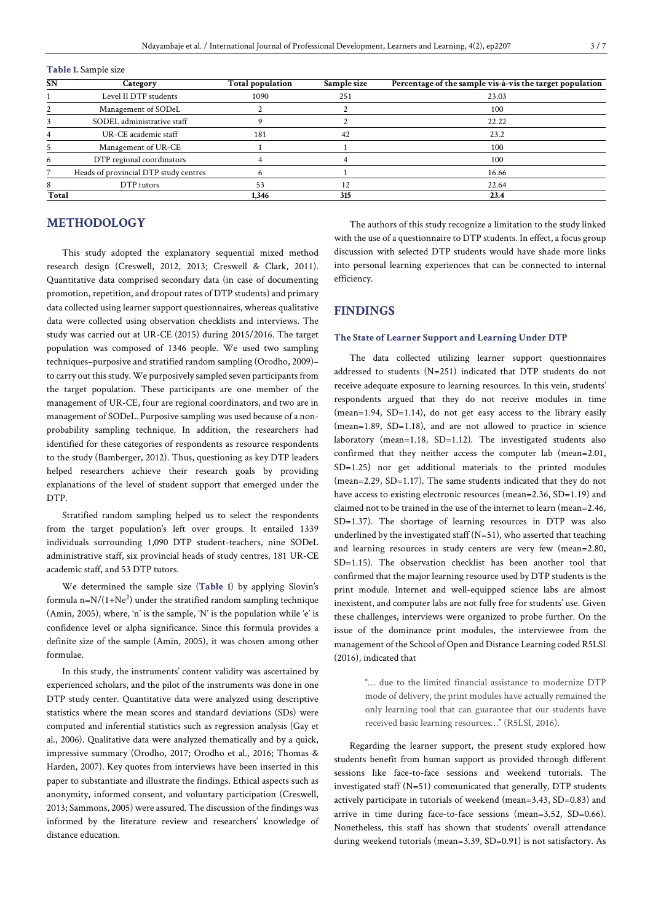| <b>SN</b> | Category                              | <b>Total population</b> | Sample size   | Percentage of the sample vis-à-vis the target population |
|-----------|---------------------------------------|-------------------------|---------------|----------------------------------------------------------|
|           | Level II DTP students                 | 1090                    | 251           | 23.03                                                    |
|           | Management of SODeL                   |                         |               | 100                                                      |
|           | SODEL administrative staff            |                         |               | 22.22                                                    |
|           | UR-CE academic staff                  | 181                     | 42            | 23.2                                                     |
|           | Management of UR-CE                   |                         |               | 100                                                      |
| 6         | DTP regional coordinators             |                         |               | 100                                                      |
|           | Heads of provincial DTP study centres | o                       |               | 16.66                                                    |
|           | DTP tutors                            | 53                      | $^{\prime}$ 2 | 22.64                                                    |
| Total     |                                       | 1.346                   | 315           | 23.4                                                     |

**Table 1.** Sample size

# **METHODOLOGY**

This study adopted the explanatory sequential mixed method research design (Creswell, 2012, 2013; Creswell & Clark, 2011). Quantitative data comprised secondary data (in case of documenting promotion, repetition, and dropout rates of DTP students) and primary data collected using learner support questionnaires, whereas qualitative data were collected using observation checklists and interviews. The study was carried out at UR-CE (2015) during 2015/2016. The target population was composed of 1346 people. We used two sampling techniques–purposive and stratified random sampling (Orodho, 2009)– to carry out this study. We purposively sampled seven participants from the target population. These participants are one member of the management of UR-CE, four are regional coordinators, and two are in management of SODeL. Purposive sampling was used because of a nonprobability sampling technique. In addition, the researchers had identified for these categories of respondents as resource respondents to the study (Bamberger, 2012). Thus, questioning as key DTP leaders helped researchers achieve their research goals by providing explanations of the level of student support that emerged under the DTP.

Stratified random sampling helped us to select the respondents from the target population's left over groups. It entailed 1339 individuals surrounding 1,090 DTP student-teachers, nine SODeL administrative staff, six provincial heads of study centres, 181 UR-CE academic staff, and 53 DTP tutors.

We determined the sample size (**Table 1**) by applying Slovin's formula n= $\rm N/(1+Ne^2)$  under the stratified random sampling technique (Amin, 2005), where, 'n' is the sample, 'N' is the population while 'e' is confidence level or alpha significance. Since this formula provides a definite size of the sample (Amin, 2005), it was chosen among other formulae.

In this study, the instruments' content validity was ascertained by experienced scholars, and the pilot of the instruments was done in one DTP study center. Quantitative data were analyzed using descriptive statistics where the mean scores and standard deviations (SDs) were computed and inferential statistics such as regression analysis (Gay et al., 2006). Qualitative data were analyzed thematically and by a quick, impressive summary (Orodho, 2017; Orodho et al., 2016; Thomas & Harden, 2007). Key quotes from interviews have been inserted in this paper to substantiate and illustrate the findings. Ethical aspects such as anonymity, informed consent, and voluntary participation (Creswell, 2013; Sammons, 2005) were assured. The discussion of the findings was informed by the literature review and researchers' knowledge of distance education.

The authors of this study recognize a limitation to the study linked with the use of a questionnaire to DTP students. In effect, a focus group discussion with selected DTP students would have shade more links into personal learning experiences that can be connected to internal efficiency.

# **FINDINGS**

#### **The State of Learner Support and Learning Under DTP**

The data collected utilizing learner support questionnaires addressed to students (N=251) indicated that DTP students do not receive adequate exposure to learning resources. In this vein, students' respondents argued that they do not receive modules in time (mean=1.94, SD=1.14), do not get easy access to the library easily (mean=1.89, SD=1.18), and are not allowed to practice in science laboratory (mean=1.18, SD=1.12). The investigated students also confirmed that they neither access the computer lab (mean=2.01, SD=1.25) nor get additional materials to the printed modules (mean=2.29, SD=1.17). The same students indicated that they do not have access to existing electronic resources (mean=2.36, SD=1.19) and claimed not to be trained in the use of the internet to learn (mean=2.46, SD=1.37). The shortage of learning resources in DTP was also underlined by the investigated staff  $(N=51)$ , who asserted that teaching and learning resources in study centers are very few (mean=2.80, SD=1.15). The observation checklist has been another tool that confirmed that the major learning resource used by DTP students is the print module. Internet and well-equipped science labs are almost inexistent, and computer labs are not fully free for students' use. Given these challenges, interviews were organized to probe further. On the issue of the dominance print modules, the interviewee from the management of the School of Open and Distance Learning coded R5LSI (2016), indicated that

> "… due to the limited financial assistance to modernize DTP mode of delivery, the print modules have actually remained the only learning tool that can guarantee that our students have received basic learning resources…" (R5LSI, 2016).

Regarding the learner support, the present study explored how students benefit from human support as provided through different sessions like face-to-face sessions and weekend tutorials. The investigated staff (N=51) communicated that generally, DTP students actively participate in tutorials of weekend (mean=3.43, SD=0.83) and arrive in time during face-to-face sessions (mean=3.52, SD=0.66). Nonetheless, this staff has shown that students' overall attendance during weekend tutorials (mean=3.39, SD=0.91) is not satisfactory. As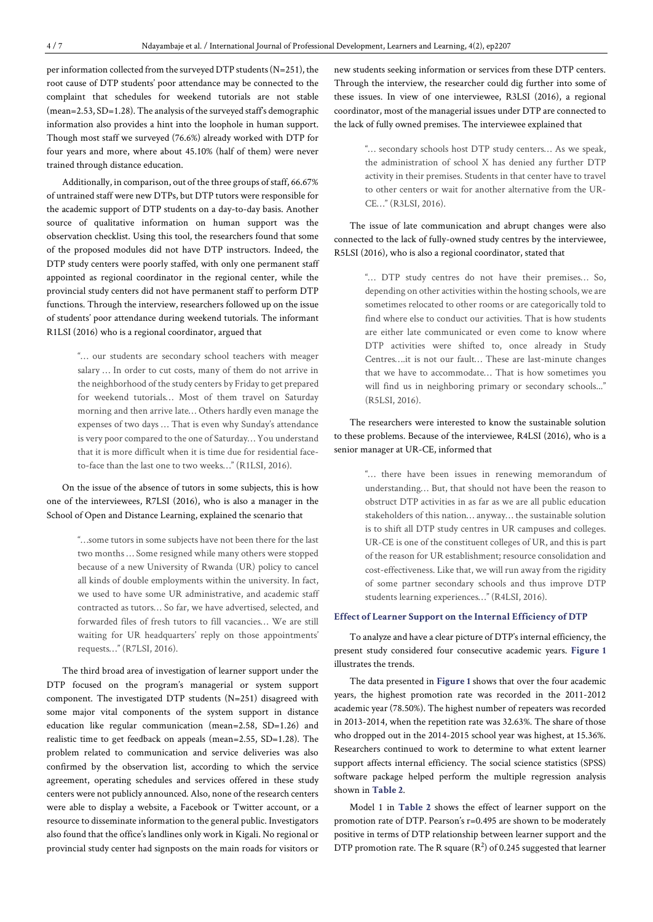per information collected from the surveyed DTP students (N=251), the root cause of DTP students' poor attendance may be connected to the complaint that schedules for weekend tutorials are not stable (mean=2.53, SD=1.28). The analysis of the surveyed staff's demographic information also provides a hint into the loophole in human support. Though most staff we surveyed (76.6%) already worked with DTP for four years and more, where about 45.10% (half of them) were never trained through distance education.

Additionally, in comparison, out of the three groups of staff, 66.67% of untrained staff were new DTPs, but DTP tutors were responsible for the academic support of DTP students on a day-to-day basis. Another source of qualitative information on human support was the observation checklist. Using this tool, the researchers found that some of the proposed modules did not have DTP instructors. Indeed, the DTP study centers were poorly staffed, with only one permanent staff appointed as regional coordinator in the regional center, while the provincial study centers did not have permanent staff to perform DTP functions. Through the interview, researchers followed up on the issue of students' poor attendance during weekend tutorials. The informant R1LSI (2016) who is a regional coordinator, argued that

> "… our students are secondary school teachers with meager salary … In order to cut costs, many of them do not arrive in the neighborhood of the study centers by Friday to get prepared for weekend tutorials… Most of them travel on Saturday morning and then arrive late… Others hardly even manage the expenses of two days … That is even why Sunday's attendance is very poor compared to the one of Saturday... You understand that it is more difficult when it is time due for residential faceto-face than the last one to two weeks…" (R1LSI, 2016).

On the issue of the absence of tutors in some subjects, this is how one of the interviewees, R7LSI (2016), who is also a manager in the School of Open and Distance Learning, explained the scenario that

> "…some tutors in some subjects have not been there for the last two months … Some resigned while many others were stopped because of a new University of Rwanda (UR) policy to cancel all kinds of double employments within the university. In fact, we used to have some UR administrative, and academic staff contracted as tutors… So far, we have advertised, selected, and forwarded files of fresh tutors to fill vacancies… We are still waiting for UR headquarters' reply on those appointments' requests…" (R7LSI, 2016).

The third broad area of investigation of learner support under the DTP focused on the program's managerial or system support component. The investigated DTP students (N=251) disagreed with some major vital components of the system support in distance education like regular communication (mean=2.58, SD=1.26) and realistic time to get feedback on appeals (mean=2.55, SD=1.28). The problem related to communication and service deliveries was also confirmed by the observation list, according to which the service agreement, operating schedules and services offered in these study centers were not publicly announced. Also, none of the research centers were able to display a website, a Facebook or Twitter account, or a resource to disseminate information to the general public. Investigators also found that the office's landlines only work in Kigali. No regional or provincial study center had signposts on the main roads for visitors or

new students seeking information or services from these DTP centers. Through the interview, the researcher could dig further into some of these issues. In view of one interviewee, R3LSI (2016), a regional coordinator, most of the managerial issues under DTP are connected to the lack of fully owned premises. The interviewee explained that

> "… secondary schools host DTP study centers… As we speak, the administration of school X has denied any further DTP activity in their premises. Students in that center have to travel to other centers or wait for another alternative from the UR-CE…" (R3LSI, 2016).

The issue of late communication and abrupt changes were also connected to the lack of fully-owned study centres by the interviewee, R5LSI (2016), who is also a regional coordinator, stated that

> "… DTP study centres do not have their premises… So, depending on other activities within the hosting schools, we are sometimes relocated to other rooms or are categorically told to find where else to conduct our activities. That is how students are either late communicated or even come to know where DTP activities were shifted to, once already in Study Centres….it is not our fault… These are last-minute changes that we have to accommodate… That is how sometimes you will find us in neighboring primary or secondary schools..." (R5LSI, 2016).

The researchers were interested to know the sustainable solution to these problems. Because of the interviewee, R4LSI (2016), who is a senior manager at UR-CE, informed that

> "… there have been issues in renewing memorandum of understanding… But, that should not have been the reason to obstruct DTP activities in as far as we are all public education stakeholders of this nation… anyway… the sustainable solution is to shift all DTP study centres in UR campuses and colleges. UR-CE is one of the constituent colleges of UR, and this is part of the reason for UR establishment; resource consolidation and cost-effectiveness. Like that, we will run away from the rigidity of some partner secondary schools and thus improve DTP students learning experiences…" (R4LSI, 2016).

## **Effect of Learner Support on the Internal Efficiency of DTP**

To analyze and have a clear picture of DTP's internal efficiency, the present study considered four consecutive academic years. **Figure 1** illustrates the trends.

The data presented in **Figure 1** shows that over the four academic years, the highest promotion rate was recorded in the 2011-2012 academic year (78.50%). The highest number of repeaters was recorded in 2013-2014, when the repetition rate was 32.63%. The share of those who dropped out in the 2014-2015 school year was highest, at 15.36%. Researchers continued to work to determine to what extent learner support affects internal efficiency. The social science statistics (SPSS) software package helped perform the multiple regression analysis shown in **Table 2**.

Model 1 in **Table 2** shows the effect of learner support on the promotion rate of DTP. Pearson's r=0.495 are shown to be moderately positive in terms of DTP relationship between learner support and the DTP promotion rate. The R square  $(R^2)$  of 0.245 suggested that learner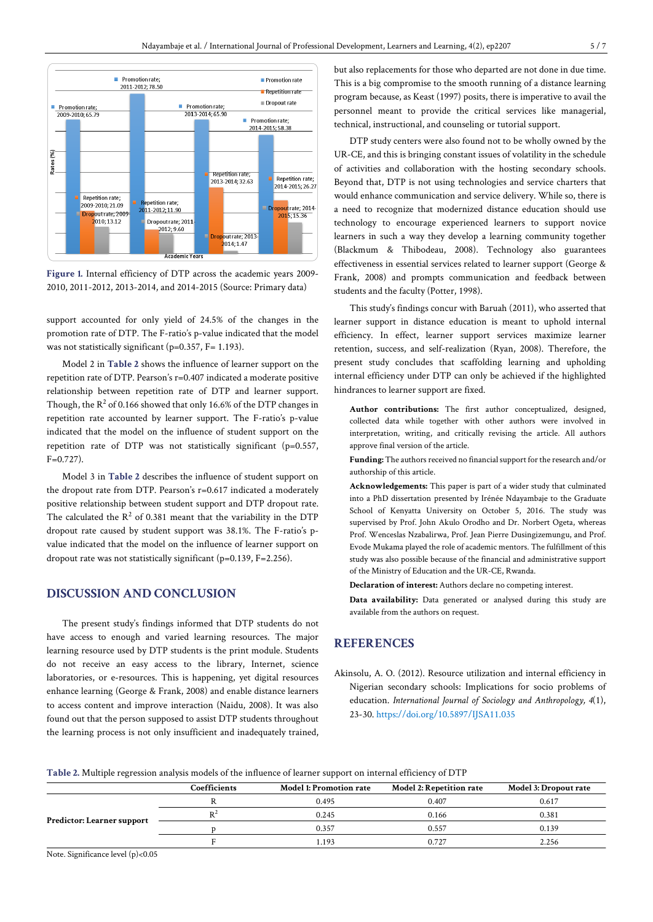

**Figure 1.** Internal efficiency of DTP across the academic years 2009- 2010, 2011-2012, 2013-2014, and 2014-2015 (Source: Primary data)

support accounted for only yield of 24.5% of the changes in the promotion rate of DTP. The F-ratio's p-value indicated that the model was not statistically significant (p=0.357, F= 1.193).

Model 2 in **Table 2** shows the influence of learner support on the repetition rate of DTP. Pearson's r=0.407 indicated a moderate positive relationship between repetition rate of DTP and learner support. Though, the  $R^2$  of 0.166 showed that only 16.6% of the DTP changes in repetition rate accounted by learner support. The F-ratio's p-value indicated that the model on the influence of student support on the repetition rate of DTP was not statistically significant (p=0.557,  $F=0.727$ 

Model 3 in **Table 2** describes the influence of student support on the dropout rate from DTP. Pearson's r=0.617 indicated a moderately positive relationship between student support and DTP dropout rate. The calculated the  $R^2$  of 0.381 meant that the variability in the DTP dropout rate caused by student support was 38.1%. The F-ratio's pvalue indicated that the model on the influence of learner support on dropout rate was not statistically significant (p=0.139, F=2.256).

# **DISCUSSION AND CONCLUSION**

The present study's findings informed that DTP students do not have access to enough and varied learning resources. The major learning resource used by DTP students is the print module. Students do not receive an easy access to the library, Internet, science laboratories, or e-resources. This is happening, yet digital resources enhance learning (George & Frank, 2008) and enable distance learners to access content and improve interaction (Naidu, 2008). It was also found out that the person supposed to assist DTP students throughout the learning process is not only insufficient and inadequately trained, but also replacements for those who departed are not done in due time. This is a big compromise to the smooth running of a distance learning program because, as Keast (1997) posits, there is imperative to avail the personnel meant to provide the critical services like managerial, technical, instructional, and counseling or tutorial support.

DTP study centers were also found not to be wholly owned by the UR-CE, and this is bringing constant issues of volatility in the schedule of activities and collaboration with the hosting secondary schools. Beyond that, DTP is not using technologies and service charters that would enhance communication and service delivery. While so, there is a need to recognize that modernized distance education should use technology to encourage experienced learners to support novice learners in such a way they develop a learning community together (Blackmum & Thibodeau, 2008). Technology also guarantees effectiveness in essential services related to learner support (George & Frank, 2008) and prompts communication and feedback between students and the faculty (Potter, 1998).

This study's findings concur with Baruah (2011), who asserted that learner support in distance education is meant to uphold internal efficiency. In effect, learner support services maximize learner retention, success, and self-realization (Ryan, 2008). Therefore, the present study concludes that scaffolding learning and upholding internal efficiency under DTP can only be achieved if the highlighted hindrances to learner support are fixed.

**Author contributions:** The first author conceptualized, designed, collected data while together with other authors were involved in interpretation, writing, and critically revising the article. All authors approve final version of the article.

Funding: The authors received no financial support for the research and/or authorship of this article.

**Acknowledgements:** This paper is part of a wider study that culminated into a PhD dissertation presented by Irénée Ndayambaje to the Graduate School of Kenyatta University on October 5, 2016. The study was supervised by Prof. John Akulo Orodho and Dr. Norbert Ogeta, whereas Prof. Wenceslas Nzabalirwa, Prof. Jean Pierre Dusingizemungu, and Prof. Evode Mukama played the role of academic mentors. The fulfillment of this study was also possible because of the financial and administrative support of the Ministry of Education and the UR-CE, Rwanda.

**Declaration of interest:** Authors declare no competing interest.

**Data availability:** Data generated or analysed during this study are available from the authors on request.

# **REFERENCES**

Akinsolu, A. O. (2012). Resource utilization and internal efficiency in Nigerian secondary schools: Implications for socio problems of education. *International Journal of Sociology and Anthropology, 4*(1), 23-30. <https://doi.org/10.5897/IJSA11.035>

|  |  |  | Table 2. Multiple regression analysis models of the influence of learner support on internal efficiency of DTP |  |  |  |
|--|--|--|----------------------------------------------------------------------------------------------------------------|--|--|--|
|  |  |  |                                                                                                                |  |  |  |

|                            | Coefficients | <b>Model 1: Promotion rate</b> | <b>Model 2: Repetition rate</b> | Model 3: Dropout rate |
|----------------------------|--------------|--------------------------------|---------------------------------|-----------------------|
|                            |              | 0.495                          | 0.407                           | 0.617                 |
|                            | R٠           | 0.245                          | 0.166                           | 0.381                 |
| Predictor: Learner support |              | 0.357                          | 0.557                           | 0.139                 |
|                            |              | 1.193                          | 0.727                           | 2.256                 |

Note. Significance level (p)<0.05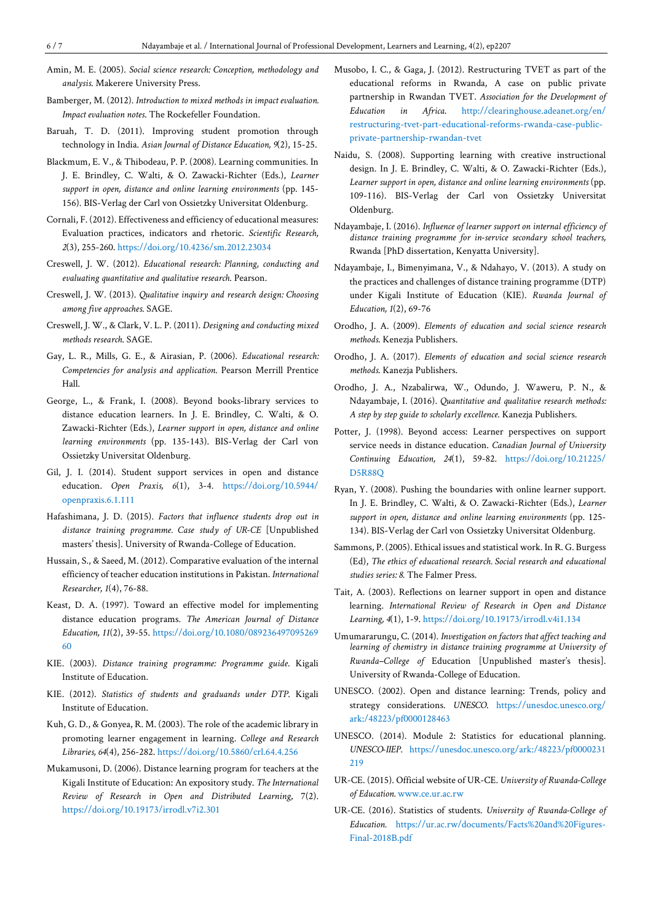- Amin, M. E. (2005). *Social science research: Conception, methodology and analysis*. Makerere University Press.
- Bamberger, M. (2012). *Introduction to mixed methods in impact evaluation. Impact evaluation notes*. The Rockefeller Foundation.
- Baruah, T. D. (2011). Improving student promotion through technology in India. *Asian Journal of Distance Education, 9*(2), 15-25.
- Blackmum, E. V., & Thibodeau, P. P. (2008). Learning communities. In J. E. Brindley, C. Walti, & O. Zawacki-Richter (Eds.), *Learner support in open, distance and online learning environments* (pp. 145- 156). BIS-Verlag der Carl von Ossietzky Universitat Oldenburg.
- Cornali, F. (2012). Effectiveness and efficiency of educational measures: Evaluation practices, indicators and rhetoric. *Scientific Research, 2*(3), 255-260. <https://doi.org/10.4236/sm.2012.23034>
- Creswell, J. W. (2012). *Educational research: Planning, conducting and evaluating quantitative and qualitative research*. Pearson.
- Creswell, J. W. (2013). *Qualitative inquiry and research design: Choosing among five approaches*. SAGE.
- Creswell, J. W., & Clark, V. L. P. (2011). *Designing and conducting mixed methods research*. SAGE.
- Gay, L. R., Mills, G. E., & Airasian, P. (2006). *Educational research: Competencies for analysis and application*. Pearson Merrill Prentice Hall.
- George, L., & Frank, I. (2008). Beyond books-library services to distance education learners. In J. E. Brindley, C. Walti, & O. Zawacki-Richter (Eds.), *Learner support in open, distance and online learning environments* (pp. 135-143). BIS-Verlag der Carl von Ossietzky Universitat Oldenburg.
- Gil, J. I. (2014). Student support services in open and distance education. *Open Praxis, 6*(1), 3-4. [https://doi.org/10.5944/](https://doi.org/10.5944/openpraxis.6.1.111) [openpraxis.6.1.111](https://doi.org/10.5944/openpraxis.6.1.111)
- Hafashimana, J. D. (2015). *Factors that influence students drop out in distance training programme. Case study of UR-CE* [Unpublished masters' thesis]. University of Rwanda-College of Education.
- Hussain, S., & Saeed, M. (2012). Comparative evaluation of the internal efficiency of teacher education institutions in Pakistan. *International Researcher, 1*(4), 76-88.
- Keast, D. A. (1997). Toward an effective model for implementing distance education programs. *The American Journal of Distance Education, 11*(2), 39-55. [https://doi.org/10.1080/089236497095269](https://doi.org/10.1080/08923649709526960) [60](https://doi.org/10.1080/08923649709526960)
- KIE. (2003). *Distance training programme: Programme guide*. Kigali Institute of Education.
- KIE. (2012). *Statistics of students and graduands under DTP*. Kigali Institute of Education.
- Kuh, G. D., & Gonyea, R. M. (2003). The role of the academic library in promoting learner engagement in learning. *College and Research Libraries, 64*(4), 256-282. <https://doi.org/10.5860/crl.64.4.256>
- Mukamusoni, D. (2006). Distance learning program for teachers at the Kigali Institute of Education: An expository study. *The International Review of Research in Open and Distributed Learning*, 7(2). <https://doi.org/10.19173/irrodl.v7i2.301>
- Musobo, I. C., & Gaga, J. (2012). Restructuring TVET as part of the educational reforms in Rwanda, A case on public private partnership in Rwandan TVET. *Association for the Development of Education in Africa*. [http://clearinghouse.adeanet.org/en/](http://clearinghouse.adeanet.org/en/restructuring-tvet-part-educational-reforms-rwanda-case-public-private-partnership-rwandan-tvet) [restructuring-tvet-part-educational-reforms-rwanda-case-public](http://clearinghouse.adeanet.org/en/restructuring-tvet-part-educational-reforms-rwanda-case-public-private-partnership-rwandan-tvet)[private-partnership-rwandan-tvet](http://clearinghouse.adeanet.org/en/restructuring-tvet-part-educational-reforms-rwanda-case-public-private-partnership-rwandan-tvet)
- Naidu, S. (2008). Supporting learning with creative instructional design. In J. E. Brindley, C. Walti, & O. Zawacki-Richter (Eds.), *Learner support in open, distance and online learning environments* (pp. 109-116). BIS-Verlag der Carl von Ossietzky Universitat Oldenburg.
- Ndayambaje, I. (2016). *Influence of learner support on internal efficiency of distance training programme for in-service secondary school teachers,* Rwanda [PhD dissertation, Kenyatta University].
- Ndayambaje, I., Bimenyimana, V., & Ndahayo, V. (2013). A study on the practices and challenges of distance training programme (DTP) under Kigali Institute of Education (KIE). *Rwanda Journal of Education, 1*(2), 69-76
- Orodho, J. A. (2009). *Elements of education and social science research methods*. Kenezja Publishers.
- Orodho, J. A. (2017). *Elements of education and social science research methods*. Kanezja Publishers.
- Orodho, J. A., Nzabalirwa, W., Odundo, J. Waweru, P. N., & Ndayambaje, I. (2016). *Quantitative and qualitative research methods: A step by step guide to scholarly excellence*. Kanezja Publishers.
- Potter, J. (1998). Beyond access: Learner perspectives on support service needs in distance education. *Canadian Journal of University Continuing Education, 24*(1), 59-82. [https://doi.org/10.21225/](https://doi.org/10.21225/D5R88Q) [D5R88Q](https://doi.org/10.21225/D5R88Q)
- Ryan, Y. (2008). Pushing the boundaries with online learner support. In J. E. Brindley, C. Walti, & O. Zawacki-Richter (Eds.), *Learner support in open, distance and online learning environments* (pp. 125- 134). BIS-Verlag der Carl von Ossietzky Universitat Oldenburg.
- Sammons, P. (2005). Ethical issues and statistical work. In R. G. Burgess (Ed), *The ethics of educational research. Social research and educational studies series: 8*. The Falmer Press.
- Tait, A. (2003). Reflections on learner support in open and distance learning. *International Review of Research in Open and Distance Learning, 4*(1), 1-9. <https://doi.org/10.19173/irrodl.v4i1.134>
- Umumararungu, C. (2014). *Investigation on factors that affect teaching and learning of chemistry in distance training programme at University of Rwanda–College of* Education [Unpublished master's thesis]. University of Rwanda-College of Education.
- UNESCO. (2002). Open and distance learning: Trends, policy and strategy considerations. *UNESCO*. [https://unesdoc.unesco.org/](https://unesdoc.unesco.org/ark:/48223/pf0000128463) [ark:/48223/pf0000128463](https://unesdoc.unesco.org/ark:/48223/pf0000128463)
- UNESCO. (2014). Module 2: Statistics for educational planning. *UNESCO-IIEP*. [https://unesdoc.unesco.org/ark:/48223/pf0000231](https://unesdoc.unesco.org/ark:/48223/pf0000231219) [219](https://unesdoc.unesco.org/ark:/48223/pf0000231219)
- UR-CE. (2015). Official website of UR-CE. *University of Rwanda-College of Education.* [www.ce.ur.ac.rw](http://www.ce.ur.ac.rw/)
- UR-CE. (2016). Statistics of students. *University of Rwanda-College of Education.* [https://ur.ac.rw/documents/Facts%20and%20Figures-](https://ur.ac.rw/documents/Facts%20and%20Figures-Final-2018B.pdf)[Final-2018B.pdf](https://ur.ac.rw/documents/Facts%20and%20Figures-Final-2018B.pdf)